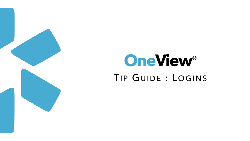

## TIP GUIDE : LOGINS **OneView®**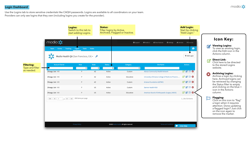Use the Logins tab to store sensitive credentials like CAQH passwords. Logins are available to all coordinators on your team. Providers can only see logins that they own (including logins you create for the provider).

| <b>Status:</b><br>Filter logins by Active, | Archived, Flagged or Inactive.           |                                                                                                               | <b>Add Login:</b><br>Start by clicking<br>"Add Login."                                                                                                                                                                                                         |   |                                                                                                                                                                                       |
|--------------------------------------------|------------------------------------------|---------------------------------------------------------------------------------------------------------------|----------------------------------------------------------------------------------------------------------------------------------------------------------------------------------------------------------------------------------------------------------------|---|---------------------------------------------------------------------------------------------------------------------------------------------------------------------------------------|
|                                            | <b>O</b> Support                         | New Features<br>Modio U<br><b><math>\bullet</math></b> Settings                                               | <b>▲ Services</b><br>$\leftrightarrow$ Sign out<br>Ω<br>+ Add Login                                                                                                                                                                                            | Ø | <b>Icon Key:</b><br><b>Viewing Logins:</b><br>To view an existing login,<br>click the Edit icon in the<br>Actions column.                                                             |
| <b>Status</b><br>$\div$ $\times$           | Category                                 | <b>Site Name</b><br>$\div$                                                                                    | <b>Actions</b>                                                                                                                                                                                                                                                 |   | <b>Direct Link:</b><br>Click here to be directed<br>to the stored Logins<br>website.                                                                                                  |
| Active<br>Active                           | Custom<br>Education                      | <b>Abrazo Community Health Network</b><br>University of Arizona College of Medicine Phoenix                   | $\mathbb{Z} \boxtimes \mathbb{Z}$ 8<br>$\begin{array}{c}\n\mathbf{C} & \mathbf{C} & \mathbf{D} & \mathbf{C}\n\end{array}$                                                                                                                                      |   | <b>Archiving Logins:</b><br>Archive a login by clicking<br>here. Archived logins can<br>be retrieved by changing                                                                      |
| Active<br>Active<br>Active                 | Custom<br>Custom<br>Education            | <b>Arizona Foundation (AZFMC)</b><br><b>Banner Health MSO</b><br>American Board of Orthopaedic Surgery (ABOS) | $\begin{array}{c}\n\mathbf{C} & \mathbf{C} & \mathbf{D} & \mathbf{C}\n\end{array}$<br>$\begin{array}{c}\n\mathbf{C} & \mathbf{C} & \mathbf{D} & \mathbf{C}\n\end{array}$<br>$\begin{array}{c}\n\mathbf{C} & \mathbf{C} & \mathbf{D} & \mathbf{C}\n\end{array}$ |   | the Status filter to empty<br>and clicking on the blue +<br>icon in the Actions<br>column.                                                                                            |
|                                            |                                          |                                                                                                               | $1 - 26$ of 26 items                                                                                                                                                                                                                                           |   | <b>Flagging:</b><br>Click on this icon to "flag"<br>a login when it requires<br>attention. Done updating<br>a flagged login? Just click<br>on the icon again to<br>remove the marker. |
|                                            | @2020 Modio Health. All rights reserved. | <b>Terms and Conditions</b>                                                                                   | <b>Live Help</b>                                                                                                                                                                                                                                               |   |                                                                                                                                                                                       |



|                                             |                                 | Logins:<br>Switch to this tab to<br>start adding Logins.                                               |                        | <b>Status:</b><br>Filter logins by Active,<br>Archived, Flagged or I |                              |
|---------------------------------------------|---------------------------------|--------------------------------------------------------------------------------------------------------|------------------------|----------------------------------------------------------------------|------------------------------|
|                                             | modio :<br>Forms<br><b>Team</b> | <b>Tracking</b><br><b>Tasks</b><br><b>Logins</b>                                                       | <b>Notes</b>           |                                                                      |                              |
|                                             |                                 | Modio Health QA (San Francisco, CA) -                                                                  |                        |                                                                      |                              |
| <b>Filtering:</b><br><b>Type and filter</b> | <b>Account Owner</b>            | Role<br>$\div$                                                                                         | <b>State</b><br>$\div$ | <b>Status</b><br>$\div$<br>$\boldsymbol{\mathsf{x}}$                 |                              |
| as needed.                                  | Zhivago, Yuri - MD              | P                                                                                                      | AZ                     | Active                                                               |                              |
|                                             | Zhivago, Yuri - MD              | P                                                                                                      | AZ                     | Active                                                               |                              |
|                                             | Zhivago, Yuri - MD              | P                                                                                                      | AZ                     | Active                                                               |                              |
|                                             | Zhivago, Yuri - MD              | P                                                                                                      | US                     | Active                                                               |                              |
|                                             | Zhivago, Yuri - MD              | P                                                                                                      | US                     | Active                                                               |                              |
|                                             | $\blacksquare$<br>$\mathbf{1}$  | 200 items per page<br>$\mathbf{1}$ $\blacktriangleright$ $\parallel$ $\blacktriangleright$ $\parallel$ |                        |                                                                      |                              |
|                                             |                                 |                                                                                                        |                        |                                                                      |                              |
|                                             |                                 |                                                                                                        |                        |                                                                      |                              |
|                                             |                                 |                                                                                                        |                        |                                                                      |                              |
|                                             |                                 | <b>Privacy Policy</b>                                                                                  |                        |                                                                      | @2020 Modio Health. All rigl |
|                                             |                                 |                                                                                                        |                        |                                                                      |                              |



## Login Dashboard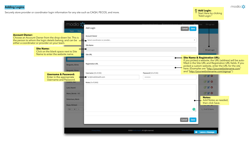Securely store provider or coordinator login information for any site such as CAQH, PECOS, and more.





## Adding Logins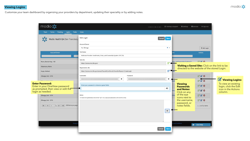Customize your team dashboard by organizing your providers by department, updating their speciality or by adding notes.



| Tracking Logins<br>Tasks<br>Team<br>Forms                                                                                                                                                                                                                                                                                                                                                                        | <b>Notes</b>                                                                                        |               |                |                                |                                                |                                              |
|------------------------------------------------------------------------------------------------------------------------------------------------------------------------------------------------------------------------------------------------------------------------------------------------------------------------------------------------------------------------------------------------------------------|-----------------------------------------------------------------------------------------------------|---------------|----------------|--------------------------------|------------------------------------------------|----------------------------------------------|
| Modio Health QA (San Francisco,                                                                                                                                                                                                                                                                                                                                                                                  | Edit Login                                                                                          | Save          |                |                                |                                                |                                              |
|                                                                                                                                                                                                                                                                                                                                                                                                                  | Account Owner                                                                                       |               |                |                                |                                                |                                              |
|                                                                                                                                                                                                                                                                                                                                                                                                                  | Yuri Zhivago                                                                                        | $x +$         |                |                                | + Add Login                                    |                                              |
| <b>Account Owner</b>                                                                                                                                                                                                                                                                                                                                                                                             | Site Name                                                                                           |               |                |                                | <b>Actions</b>                                 |                                              |
|                                                                                                                                                                                                                                                                                                                                                                                                                  | Medicare Provider Enrollment, Chain, and Ownership System (PECOS)                                   |               |                |                                |                                                |                                              |
| Mann, Bernie Amy - MD                                                                                                                                                                                                                                                                                                                                                                                            | Site URL                                                                                            |               |                | ain, and Ownershin System (P.  | <b>EZ EZ O</b>                                 |                                              |
|                                                                                                                                                                                                                                                                                                                                                                                                                  | https://pecos.cms.hhs.gov/                                                                          | ☑             |                |                                | Visiting a Saved Site: Click on the link to be |                                              |
| Robertson, Marie                                                                                                                                                                                                                                                                                                                                                                                                 | <b>Registration URL</b>                                                                             |               |                |                                | directed to the website of the stored Login.   |                                              |
| Rupp, Richard                                                                                                                                                                                                                                                                                                                                                                                                    | https://pecos.cms.hhs.gov/pecos/PecosIAConfirm.do?transferReason=CreateLogin                        | ☑             |                |                                |                                                |                                              |
| Zhivago, Yuri - DPM                                                                                                                                                                                                                                                                                                                                                                                              | Username<br>Password                                                                                |               |                |                                | ■■■                                            |                                              |
| and the ball of the state of the state of                                                                                                                                                                                                                                                                                                                                                                        | ⊛                                                                                                   | ◉             |                |                                | <b>RRO</b>                                     | Viewing Logins                               |
| <b>Enter Password:</b><br>Enter in your OneView password                                                                                                                                                                                                                                                                                                                                                         | Enter your password to view encrypted fields                                                        |               |                | <b>Viewing</b>                 | C C                                            | To view an existing<br>login, click the Edit |
| as prompted, then view or edit the                                                                                                                                                                                                                                                                                                                                                                               |                                                                                                     | →             |                | <b>Passwords</b><br>and Notes: | C C                                            | icon in the Actions                          |
| login as needed.                                                                                                                                                                                                                                                                                                                                                                                                 |                                                                                                     |               |                | Click on any                   |                                                | column.                                      |
|                                                                                                                                                                                                                                                                                                                                                                                                                  | Notes<br>To reveal encrypted data click on the "eye" icon, type your password, and click the arrow. |               |                | of the eye<br>icons next to    | C C                                            |                                              |
| Zhivago, Yuri - DPM                                                                                                                                                                                                                                                                                                                                                                                              |                                                                                                     |               |                | the username,                  | ■■●                                            |                                              |
| Zhivago, Yuri - DPM                                                                                                                                                                                                                                                                                                                                                                                              |                                                                                                     |               |                |                                |                                                |                                              |
|                                                                                                                                                                                                                                                                                                                                                                                                                  |                                                                                                     |               |                | password, or                   |                                                |                                              |
| $\begin{array}{ c c c c c }\n\hline\n\text{H} & \text{H} & \text{H} & \text{H} & \text{H} & \text{H} & \text{H} & \text{H} & \text{H} & \text{H} & \text{H} & \text{H} & \text{H} & \text{H} & \text{H} & \text{H} & \text{H} & \text{H} & \text{H} & \text{H} & \text{H} & \text{H} & \text{H} & \text{H} & \text{H} & \text{H} & \text{H} & \text{H} & \text{H} & \text{H} & \text{H} & \text{H} & \text{H} &$ |                                                                                                     |               |                | notes fields.                  | $1:15$ of 15 items                             |                                              |
|                                                                                                                                                                                                                                                                                                                                                                                                                  |                                                                                                     | $\circledast$ |                |                                |                                                |                                              |
|                                                                                                                                                                                                                                                                                                                                                                                                                  |                                                                                                     |               |                |                                |                                                |                                              |
| Privacy                                                                                                                                                                                                                                                                                                                                                                                                          |                                                                                                     |               | and Conditions |                                |                                                |                                              |